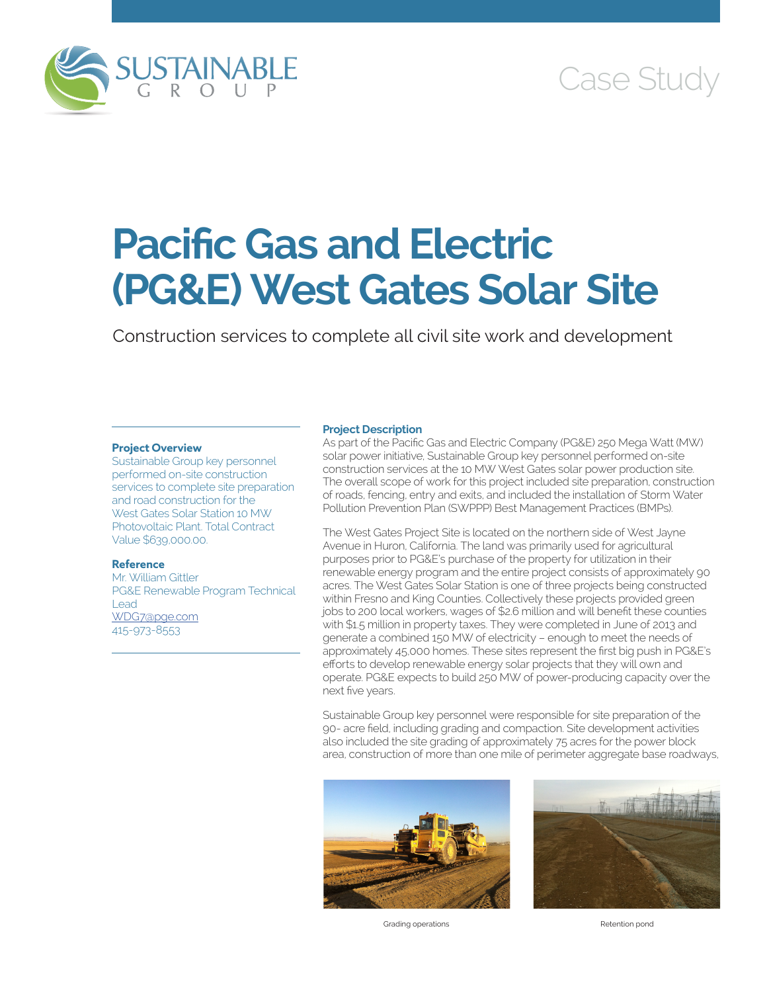

## Case Study

# **Pacific Gas and Electric (PG&E) West Gates Solar Site**

Construction services to complete all civil site work and development

### **Project Overview**

Sustainable Group key personnel performed on-site construction services to complete site preparation and road construction for the West Gates Solar Station 10 MW Photovoltaic Plant. Total Contract Value \$639,000.00.

#### **Reference**

Mr. William Gittler PG&E Renewable Program Technical Lead [WDG7@pge.com](mailto:WDG7@pge.com) 415-973-8553

#### **Project Description**

As part of the Pacific Gas and Electric Company (PG&E) 250 Mega Watt (MW) solar power initiative, Sustainable Group key personnel performed on-site construction services at the 10 MW West Gates solar power production site. The overall scope of work for this project included site preparation, construction of roads, fencing, entry and exits, and included the installation of Storm Water Pollution Prevention Plan (SWPPP) Best Management Practices (BMPs).

The West Gates Project Site is located on the northern side of West Jayne Avenue in Huron, California. The land was primarily used for agricultural purposes prior to PG&E's purchase of the property for utilization in their renewable energy program and the entire project consists of approximately 90 acres. The West Gates Solar Station is one of three projects being constructed within Fresno and King Counties. Collectively these projects provided green jobs to 200 local workers, wages of \$2.6 million and will benefit these counties with \$1.5 million in property taxes. They were completed in June of 2013 and generate a combined 150 MW of electricity – enough to meet the needs of approximately 45,000 homes. These sites represent the first big push in PG&E's efforts to develop renewable energy solar projects that they will own and operate. PG&E expects to build 250 MW of power-producing capacity over the next five years.

Sustainable Group key personnel were responsible for site preparation of the 90- acre field, including grading and compaction. Site development activities also included the site grading of approximately 75 acres for the power block area, construction of more than one mile of perimeter aggregate base roadways,



Grading operations **Retention pond**